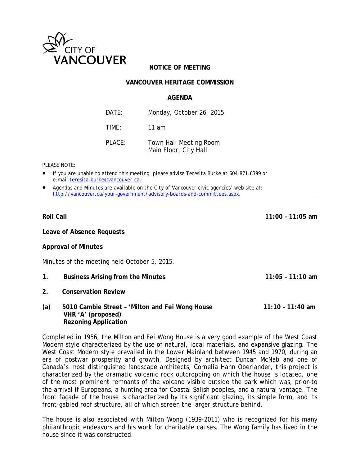

# **NOTICE OF MEETING**

## **VANCOUVER HERITAGE COMMISSION**

### **AGENDA**

| DATF:     | Monday, October 26, 2015                        |
|-----------|-------------------------------------------------|
| TIMF:     | 11 am                                           |
| $PI$ ACF: | Town Hall Meeting Room<br>Main Floor, City Hall |

*PLEASE NOTE:*

- *If you are unable to attend this meeting, please advise Teresita Burke at 604.871.6399 or e.mail [teresita.burke@vancouver.ca](mailto:teresita.burke@vancouver.ca)*.
- *Agendas and Minutes are available on the City of Vancouver civic agencies' web site at: <http://vancouver.ca/your-government/advisory-boards-and-committees.aspx>*.

**Roll Call 11:00 – 11:05 am** 

**Leave of Absence Requests**

#### **Approval of Minutes**

Minutes of the meeting held October 5, 2015.

- **1. Business Arising from the Minutes 11:05 11:10 am**
- **2. Conservation Review**
- **(a) 5010 Cambie Street 'Milton and Fei Wong House 11:10 11:40 am VHR 'A' (proposed) Rezoning Application**

Completed in 1956, the Milton and Fei Wong House is a very good example of the West Coast Modern style characterized by the use of natural, local materials, and expansive glazing. The West Coast Modern style prevailed in the Lower Mainland between 1945 and 1970, during an era of postwar prosperity and growth. Designed by architect Duncan McNab and one of Canada's most distinguished landscape architects, Cornelia Hahn Oberlander, this project is characterized by the dramatic volcanic rock outcropping on which the house is located, one of the most prominent remnants of the volcano visible outside the park which was, prior-to the arrival if Europeans, a hunting area for Coastal Salish peoples, and a natural vantage. The front façade of the house is characterized by its significant glazing, its simple form, and its front-gabled roof structure, all of which screen the larger structure behind.

The house is also associated with Milton Wong (1939-2011) who is recognized for his many philanthropic endeavors and his work for charitable causes. The Wong family has lived in the house since it was constructed.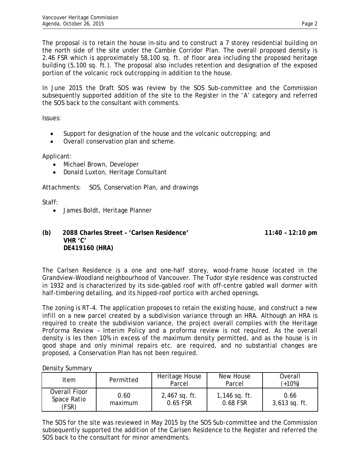The proposal is to retain the house in-situ and to construct a 7 storey residential building on the north side of the site under the Cambie Corridor Plan. The overall proposed density is 2.46 FSR which is approximately 58,100 sq. ft. of floor area including the proposed heritage building (5,100 sq. ft.). The proposal also includes retention and designation of the exposed portion of the volcanic rock outcropping in addition to the house.

In June 2015 the Draft SOS was review by the SOS Sub-committee and the Commission subsequently supported addition of the site to the Register in the 'A' category and referred the SOS back to the consultant with comments.

Issues:

- Support for designation of the house and the volcanic outcropping; and
- Overall conservation plan and scheme.

Applicant:

- Michael Brown, Developer
- Donald Luxton, Heritage Consultant

Attachments: SOS, Conservation Plan, and drawings

Staff:

- James Boldt, Heritage Planner
- **(b) 2088 Charles Street 'Carlsen Residence' 11:40 12:10 pm VHR 'C' DE419160 (HRA)**

The Carlsen Residence is a one and one-half storey, wood-frame house located in the Grandview-Woodland neighbourhood of Vancouver. The Tudor style residence was constructed in 1932 and is characterized by its side-gabled roof with off-centre gabled wall dormer with half-timbering detailing, and its hipped-roof portico with arched openings.

The zoning is RT-4. The application proposes to retain the existing house, and construct a new infill on a new parcel created by a subdivision variance through an HRA. Although an HRA is required to create the subdivision variance, the project overall complies with the *Heritage Proforma Review – Interim Policy* and a proforma review is not required. As the overall density is les then 10% in excess of the maximum density permitted, and as the house is in good shape and only minimal repairs etc. are required, and no substantial changes are proposed, a Conservation Plan has not been required.

Density Summary

| Item                                  | Permitted       | Heritage House<br>Parcel    | New House<br>Parcel         | Overall<br>$(+10%)$     |
|---------------------------------------|-----------------|-----------------------------|-----------------------------|-------------------------|
| Overall Floor<br>Space Ratio<br>(FSR) | 0.60<br>maximum | $2,467$ sq. ft.<br>0.65 FSR | $1,146$ sq. ft.<br>0.68 FSR | 0.66<br>$3,613$ sq. ft. |

The SOS for the site was reviewed in May 2015 by the SOS Sub-committee and the Commission subsequently supported the addition of the Carlsen Residence to the Register and referred the SOS back to the consultant for minor amendments.